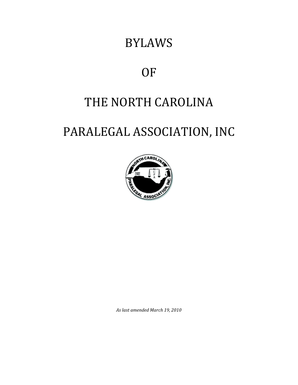# BYLAWS

# OF

# THE NORTH CAROLINA

# PARALEGAL ASSOCIATION, INC



*As last amended March 19, 2010*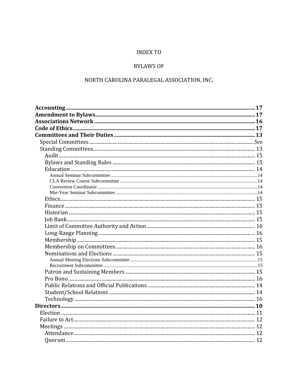# **INDEX TO**

# **BYLAWS OF**

# NORTH CAROLINA PARALEGAL ASSOCIATION, INC.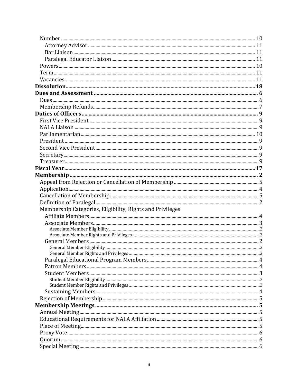| Membership Categories, Eligibility, Rights and Privileges |  |
|-----------------------------------------------------------|--|
|                                                           |  |
|                                                           |  |
|                                                           |  |
|                                                           |  |
|                                                           |  |
|                                                           |  |
|                                                           |  |
|                                                           |  |
|                                                           |  |
|                                                           |  |
|                                                           |  |
|                                                           |  |
|                                                           |  |
|                                                           |  |
|                                                           |  |
|                                                           |  |
|                                                           |  |
|                                                           |  |
|                                                           |  |
|                                                           |  |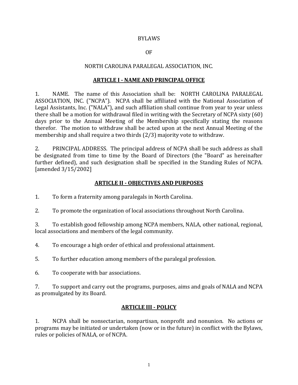#### BYLAWS

### OF

### NORTH CAROLINA PARALEGAL ASSOCIATION, INC.

#### **ARTICLE I - NAME AND PRINCIPAL OFFICE**

1. NAME. The name of this Association shall be: NORTH CAROLINA PARALEGAL ASSOCIATION, INC. ("NCPA"). NCPA shall be affiliated with the National Association of Legal Assistants, Inc. ("NALA"), and such affiliation shall continue from year to year unless there shall be a motion for withdrawal filed in writing with the Secretary of NCPA sixty (60) days prior to the Annual Meeting of the Membership specifically stating the reasons therefor. The motion to withdraw shall be acted upon at the next Annual Meeting of the membership and shall require a two thirds (2/3) majority vote to withdraw.

2. PRINCIPAL ADDRESS. The principal address of NCPA shall be such address as shall be designated from time to time by the Board of Directors (the "Board" as hereinafter further defined), and such designation shall be specified in the Standing Rules of NCPA. [amended 3/15/2002]

## **ARTICLE II - OBJECTIVES AND PURPOSES**

- 1. To form a fraternity among paralegals in North Carolina.
- 2. To promote the organization of local associations throughout North Carolina.

3. To establish good fellowship among NCPA members, NALA, other national, regional, local associations and members of the legal community.

4. To encourage a high order of ethical and professional attainment.

5. To further education among members of the paralegal profession.

6. To cooperate with bar associations.

7. To support and carry out the programs, purposes, aims and goals of NALA and NCPA as promulgated by its Board.

## **ARTICLE III - POLICY**

1. NCPA shall be nonsectarian, nonpartisan, nonprofit and nonunion. No actions or programs may be initiated or undertaken (now or in the future) in conflict with the Bylaws, rules or policies of NALA, or of NCPA.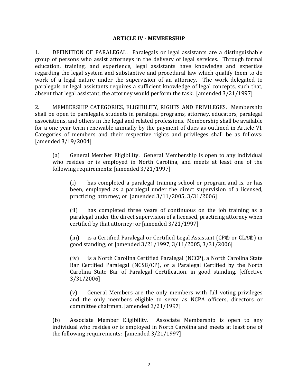#### **ARTICLE IV - MEMBERSHIP**

1. DEFINITION OF PARALEGAL. Paralegals or legal assistants are a distinguishable group of persons who assist attorneys in the delivery of legal services. Through formal education, training, and experience, legal assistants have knowledge and expertise regarding the legal system and substantive and procedural law which qualify them to do work of a legal nature under the supervision of an attorney. The work delegated to paralegals or legal assistants requires a sufficient knowledge of legal concepts, such that, absent that legal assistant, the attorney would perform the task. [amended 3/21/1997]

2. MEMBERSHIP CATEGORIES, ELIGIBILITY, RIGHTS AND PRIVILEGES. Membership shall be open to paralegals, students in paralegal programs, attorney, educators, paralegal associations, and others in the legal and related professions. Membership shall be available for a one-year term renewable annually by the payment of dues as outlined in Article VI. Categories of members and their respective rights and privileges shall be as follows: [amended 3/19/2004]

(a) General Member Eligibility. General Membership is open to any individual who resides or is employed in North Carolina, and meets at least one of the following requirements: [amended 3/21/1997]

(i) has completed a paralegal training school or program and is, or has been, employed as a paralegal under the direct supervision of a licensed, practicing attorney; or [amended 3/11/2005, 3/31/2006]

(ii) has completed three years of continuous on the job training as a paralegal under the direct supervision of a licensed, practicing attorney when certified by that attorney; or [amended 3/21/1997]

(iii) is a Certified Paralegal or Certified Legal Assistant (CP® or CLA®) in good standing; or [amended 3/21/1997, 3/11/2005, 3/31/2006]

(iv) is a North Carolina Certified Paralegal (NCCP), a North Carolina State Bar Certified Paralegal (NCSB/CP), or a Paralegal Certified by the North Carolina State Bar of Paralegal Certification, in good standing. [effective 3/31/2006]

(v) General Members are the only members with full voting privileges and the only members eligible to serve as NCPA officers, directors or committee chairmen. [amended 3/21/1997]

(b) Associate Member Eligibility. Associate Membership is open to any individual who resides or is employed in North Carolina and meets at least one of the following requirements: [amended 3/21/1997]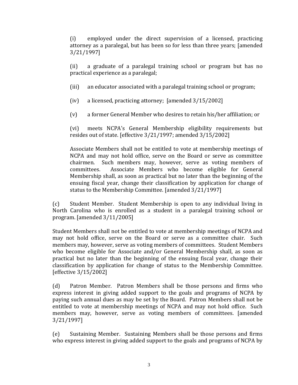(i) employed under the direct supervision of a licensed, practicing attorney as a paralegal, but has been so for less than three years; [amended 3/21/1997]

(ii) a graduate of a paralegal training school or program but has no practical experience as a paralegal;

- (iii) an educator associated with a paralegal training school or program;
- (iv) a licensed, practicing attorney; [amended 3/15/2002]
- (v) a former General Member who desires to retain his/her affiliation; or

(vi) meets NCPA's General Membership eligibility requirements but resides out of state. [effective 3/21/1997; amended 3/15/2002]

Associate Members shall not be entitled to vote at membership meetings of NCPA and may not hold office, serve on the Board or serve as committee chairmen. Such members may, however, serve as voting members of committees. Associate Members who become eligible for General Membership shall, as soon as practical but no later than the beginning of the ensuing fiscal year, change their classification by application for change of status to the Membership Committee. [amended 3/21/1997]

(c) Student Member. Student Membership is open to any individual living in North Carolina who is enrolled as a student in a paralegal training school or program. [amended 3/11/2005]

Student Members shall not be entitled to vote at membership meetings of NCPA and may not hold office, serve on the Board or serve as a committee chair. Such members may, however, serve as voting members of committees. Student Members who become eligible for Associate and/or General Membership shall, as soon as practical but no later than the beginning of the ensuing fiscal year, change their classification by application for change of status to the Membership Committee. [effective 3/15/2002]

(d) Patron Member. Patron Members shall be those persons and firms who express interest in giving added support to the goals and programs of NCPA by paying such annual dues as may be set by the Board. Patron Members shall not be entitled to vote at membership meetings of NCPA and may not hold office. Such members may, however, serve as voting members of committees. [amended 3/21/1997]

(e) Sustaining Member. Sustaining Members shall be those persons and firms who express interest in giving added support to the goals and programs of NCPA by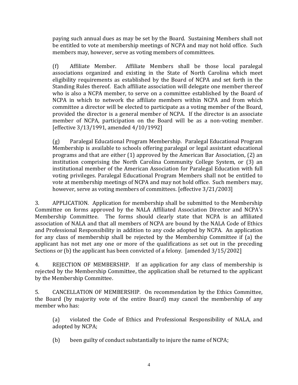paying such annual dues as may be set by the Board. Sustaining Members shall not be entitled to vote at membership meetings of NCPA and may not hold office. Such members may, however, serve as voting members of committees.

(f) Affiliate Member. Affiliate Members shall be those local paralegal associations organized and existing in the State of North Carolina which meet eligibility requirements as established by the Board of NCPA and set forth in the Standing Rules thereof. Each affiliate association will delegate one member thereof who is also a NCPA member, to serve on a committee established by the Board of NCPA in which to network the affiliate members within NCPA and from which committee a director will be elected to participate as a voting member of the Board, provided the director is a general member of NCPA. If the director is an associate member of NCPA, participation on the Board will be as a non-voting member. [effective 3/13/1991, amended 4/10/1992]

(g) Paralegal Educational Program Membership. Paralegal Educational Program Membership is available to schools offering paralegal or legal assistant educational programs and that are either (1) approved by the American Bar Association, (2) an institution comprising the North Carolina Community College System, or (3) an institutional member of the American Association for Paralegal Education with full voting privileges. Paralegal Educational Program Members shall not be entitled to vote at membership meetings of NCPA and may not hold office. Such members may, however, serve as voting members of committees. [effective 3/21/2003]

3. APPLICATION. Application for membership shall be submitted to the Membership Committee on forms approved by the NALA Affiliated Association Director and NCPA's Membership Committee. The forms should clearly state that NCPA is an affiliated association of NALA and that all members of NCPA are bound by the NALA Code of Ethics and Professional Responsibility in addition to any code adopted by NCPA. An application for any class of membership shall be rejected by the Membership Committee if (a) the applicant has not met any one or more of the qualifications as set out in the preceding Sections or (b) the applicant has been convicted of a felony. [amended 3/15/2002]

4. REJECTION OF MEMBERSHIP. If an application for any class of membership is rejected by the Membership Committee, the application shall be returned to the applicant by the Membership Committee.

5. CANCELLATION OF MEMBERSHIP. On recommendation by the Ethics Committee, the Board (by majority vote of the entire Board) may cancel the membership of any member who has:

(a) violated the Code of Ethics and Professional Responsibility of NALA, and adopted by NCPA;

(b) been guilty of conduct substantially to injure the name of NCPA;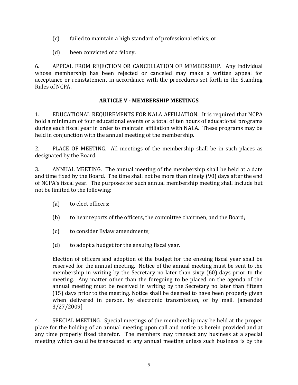- (c) failed to maintain a high standard of professional ethics; or
- (d) been convicted of a felony.

6. APPEAL FROM REJECTION OR CANCELLATION OF MEMBERSHIP. Any individual whose membership has been rejected or canceled may make a written appeal for acceptance or reinstatement in accordance with the procedures set forth in the Standing Rules of NCPA.

# **ARTICLE V - MEMBERSHIP MEETINGS**

1. EDUCATIONAL REQUIREMENTS FOR NALA AFFILIATION. It is required that NCPA hold a minimum of four educational events or a total of ten hours of educational programs during each fiscal year in order to maintain affiliation with NALA. These programs may be held in conjunction with the annual meeting of the membership.

2. PLACE OF MEETING. All meetings of the membership shall be in such places as designated by the Board.

3. ANNUAL MEETING. The annual meeting of the membership shall be held at a date and time fixed by the Board. The time shall not be more than ninety (90) days after the end of NCPA's fiscal year. The purposes for such annual membership meeting shall include but not be limited to the following:

- (a) to elect officers;
- (b) to hear reports of the officers, the committee chairmen, and the Board;
- (c) to consider Bylaw amendments;
- (d) to adopt a budget for the ensuing fiscal year.

Election of officers and adoption of the budget for the ensuing fiscal year shall be reserved for the annual meeting. Notice of the annual meeting must be sent to the membership in writing by the Secretary no later than sixty (60) days prior to the meeting. Any matter other than the foregoing to be placed on the agenda of the annual meeting must be received in writing by the Secretary no later than fifteen (15) days prior to the meeting. Notice shall be deemed to have been properly given when delivered in person, by electronic transmission, or by mail. [amended 3/27/2009]

4. SPECIAL MEETING. Special meetings of the membership may be held at the proper place for the holding of an annual meeting upon call and notice as herein provided and at any time properly fixed therefor. The members may transact any business at a special meeting which could be transacted at any annual meeting unless such business is by the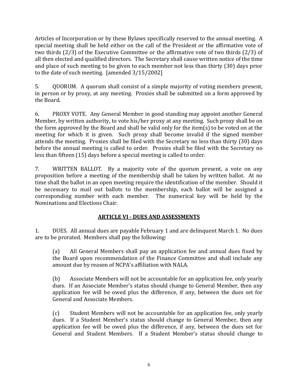Articles of Incorporation or by these Bylaws specifically reserved to the annual meeting. A special meeting shall be held either on the call of the President or the affirmative vote of two thirds (2/3) of the Executive Committee or the affirmative vote of two thirds (2/3) of all then elected and qualified directors. The Secretary shall cause written notice of the time and place of such meeting to be given to each member not less than thirty (30) days prior to the date of such meeting. [amended 3/15/2002]

5. QUORUM. A quorum shall consist of a simple majority of voting members present, in person or by proxy, at any meeting. Proxies shall be submitted on a form approved by the Board.

6. PROXY VOTE. Any General Member in good standing may appoint another General Member, by written authority, to vote his/her proxy at any meeting. Such proxy shall be on the form approved by the Board and shall be valid only for the item(s) to be voted on at the meeting for which it is given. Such proxy shall become invalid if the signed member attends the meeting. Proxies shall be filed with the Secretary no less than thirty (30) days before the annual meeting is called to order. Proxies shall be filed with the Secretary no less than fifteen (15) days before a special meeting is called to order.

7. WRITTEN BALLOT. By a majority vote of the quorum present, a vote on any proposition before a meeting of the membership shall be taken by written ballot. At no time shall the ballot in an open meeting require the identification of the member. Should it be necessary to mail out ballots to the membership, each ballot will be assigned a corresponding number with each member. The numerical key will be held by the Nominations and Elections Chair.

# **ARTICLE VI - DUES AND ASSESSMENTS**

1. DUES. All annual dues are payable February 1 and are delinquent March 1. No dues are to be prorated. Members shall pay the following:

(a) All General Members shall pay an application fee and annual dues fixed by the Board upon recommendation of the Finance Committee and shall include any amount due by reason of NCPA's affiliation with NALA.

(b) Associate Members will not be accountable for an application fee, only yearly dues. If an Associate Member's status should change to General Member, then any application fee will be owed plus the difference, if any, between the dues set for General and Associate Members.

(c) Student Members will not be accountable for an application fee, only yearly dues. If a Student Member's status should change to General Member, then any application fee will be owed plus the difference, if any, between the dues set for General and Student Members. If a Student Member's status should change to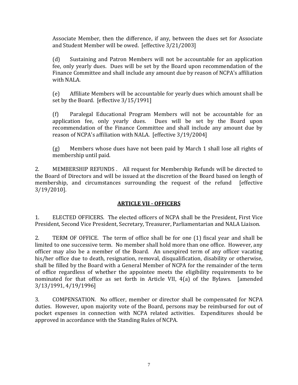Associate Member, then the difference, if any, between the dues set for Associate and Student Member will be owed. [effective 3/21/2003]

(d) Sustaining and Patron Members will not be accountable for an application fee, only yearly dues. Dues will be set by the Board upon recommendation of the Finance Committee and shall include any amount due by reason of NCPA's affiliation with NALA.

(e) Affiliate Members will be accountable for yearly dues which amount shall be set by the Board. [effective 3/15/1991]

(f) Paralegal Educational Program Members will not be accountable for an application fee, only yearly dues. Dues will be set by the Board upon recommendation of the Finance Committee and shall include any amount due by reason of NCPA's affiliation with NALA. [effective 3/19/2004]

(g) Members whose dues have not been paid by March 1 shall lose all rights of membership until paid.

2. MEMBERSHIP REFUNDS . All request for Membership Refunds will be directed to the Board of Directors and will be issued at the discretion of the Board based on length of membership, and circumstances surrounding the request of the refund [effective] 3/19/2010].

# **ARTICLE VII - OFFICERS**

1. ELECTED OFFICERS. The elected officers of NCPA shall be the President, First Vice President, Second Vice President, Secretary, Treasurer, Parliamentarian and NALA Liaison.

2. TERM OF OFFICE. The term of office shall be for one (1) fiscal year and shall be limited to one successive term. No member shall hold more than one office. However, any officer may also be a member of the Board. An unexpired term of any officer vacating his/her office due to death, resignation, removal, disqualification, disability or otherwise, shall be filled by the Board with a General Member of NCPA for the remainder of the term of office regardless of whether the appointee meets the eligibility requirements to be nominated for that office as set forth in Article VII, 4(a) of the Bylaws. [amended 3/13/1991, 4/19/1996]

3. COMPENSATION. No officer, member or director shall be compensated for NCPA duties. However, upon majority vote of the Board, persons may be reimbursed for out of pocket expenses in connection with NCPA related activities. Expenditures should be approved in accordance with the Standing Rules of NCPA.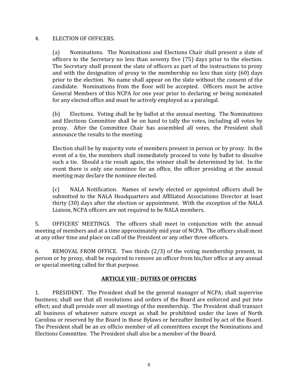## 4. ELECTION OF OFFICERS.

(a) Nominations. The Nominations and Elections Chair shall present a slate of officers to the Secretary no less than seventy five (75) days prior to the election. The Secretary shall present the slate of officers as part of the instructions to proxy and with the designation of proxy to the membership no less than sixty (60) days prior to the election. No name shall appear on the slate without the consent of the candidate. Nominations from the floor will be accepted. Officers must be active General Members of this NCPA for one year prior to declaring or being nominated for any elected office and must be actively employed as a paralegal.

(b) Elections. Voting shall be by ballot at the annual meeting. The Nominations and Elections Committee shall be on hand to tally the votes, including all votes by proxy. After the Committee Chair has assembled all votes, the President shall announce the results to the meeting.

Election shall be by majority vote of members present in person or by proxy. In the event of a tie, the members shall immediately proceed to vote by ballot to dissolve such a tie. Should a tie result again, the winner shall be determined by lot. In the event there is only one nominee for an office, the officer presiding at the annual meeting may declare the nominee elected.

(c) NALA Notification. Names of newly elected or appointed officers shall be submitted to the NALA Headquarters and Affiliated Associations Director at least thirty (30) days after the election or appointment. With the exception of the NALA Liaison, NCPA officers are not required to be NALA members.

5. OFFICERS' MEETINGS. The officers shall meet in conjunction with the annual meeting of members and at a time approximately mid year of NCPA. The officers shall meet at any other time and place on call of the President or any other three officers.

6. REMOVAL FROM OFFICE. Two thirds (2/3) of the voting membership present, in person or by proxy, shall be required to remove an officer from his/her office at any annual or special meeting called for that purpose.

## **ARTICLE VIII - DUTIES OF OFFICERS**

1. PRESIDENT. The President shall be the general manager of NCPA; shall supervise business; shall see that all resolutions and orders of the Board are enforced and put into effect; and shall preside over all meetings of the membership. The President shall transact all business of whatever nature except as shall be prohibited under the laws of North Carolina or reserved by the Board in these Bylaws or hereafter limited by act of the Board. The President shall be an ex officio member of all committees except the Nominations and Elections Committee. The President shall also be a member of the Board.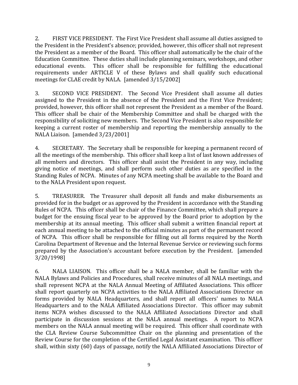2. FIRST VICE PRESIDENT. The First Vice President shall assume all duties assigned to the President in the President's absence; provided, however, this officer shall not represent the President as a member of the Board. This officer shall automatically be the chair of the Education Committee. These duties shall include planning seminars, workshops, and other educational events. This officer shall be responsible for fulfilling the educational requirements under ARTICLE V of these Bylaws and shall qualify such educational meetings for CLAE credit by NALA. [amended 3/15/2002]

3. SECOND VICE PRESIDENT. The Second Vice President shall assume all duties assigned to the President in the absence of the President and the First Vice President; provided, however, this officer shall not represent the President as a member of the Board. This officer shall be chair of the Membership Committee and shall be charged with the responsibility of soliciting new members. The Second Vice President is also responsible for keeping a current roster of membership and reporting the membership annually to the NALA Liaison. [amended 3/23/2001]

4. SECRETARY. The Secretary shall be responsible for keeping a permanent record of all the meetings of the membership. This officer shall keep a list of last known addresses of all members and directors. This officer shall assist the President in any way, including giving notice of meetings, and shall perform such other duties as are specified in the Standing Rules of NCPA. Minutes of any NCPA meeting shall be available to the Board and to the NALA President upon request.

5. TREASURER. The Treasurer shall deposit all funds and make disbursements as provided for in the budget or as approved by the President in accordance with the Standing Rules of NCPA. This officer shall be chair of the Finance Committee, which shall prepare a budget for the ensuing fiscal year to be approved by the Board prior to adoption by the membership at its annual meeting. This officer shall submit a written financial report at each annual meeting to be attached to the official minutes as part of the permanent record of NCPA. This officer shall be responsible for filling out all forms required by the North Carolina Department of Revenue and the Internal Revenue Service or reviewing such forms prepared by the Association's accountant before execution by the President. [amended 3/20/1998]

6. NALA LIAISON. This officer shall be a NALA member, shall be familiar with the NALA Bylaws and Policies and Procedures, shall receive minutes of all NALA meetings, and shall represent NCPA at the NALA Annual Meeting of Affiliated Associations. This officer shall report quarterly on NCPA activities to the NALA Affiliated Associations Director on forms provided by NALA Headquarters, and shall report all officers' names to NALA Headquarters and to the NALA Affiliated Associations Director. This officer may submit items NCPA wishes discussed to the NALA Affiliated Associations Director and shall participate in discussion sessions at the NALA annual meetings. A report to NCPA members on the NALA annual meeting will be required. This officer shall coordinate with the CLA Review Course Subcommittee Chair on the planning and presentation of the Review Course for the completion of the Certified Legal Assistant examination. This officer shall, within sixty (60) days of passage, notify the NALA Affiliated Associations Director of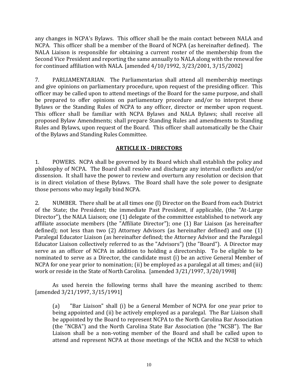any changes in NCPA's Bylaws. This officer shall be the main contact between NALA and NCPA. This officer shall be a member of the Board of NCPA (as hereinafter defined). The NALA Liaison is responsible for obtaining a current roster of the membership from the Second Vice President and reporting the same annually to NALA along with the renewal fee for continued affiliation with NALA. [amended 4/10/1992, 3/23/2001, 3/15/2002]

7. PARLIAMENTARIAN. The Parliamentarian shall attend all membership meetings and give opinions on parliamentary procedure, upon request of the presiding officer. This officer may be called upon to attend meetings of the Board for the same purpose, and shall be prepared to offer opinions on parliamentary procedure and/or to interpret these Bylaws or the Standing Rules of NCPA to any officer, director or member upon request. This officer shall be familiar with NCPA Bylaws and NALA Bylaws; shall receive all proposed Bylaw Amendments; shall prepare Standing Rules and amendments to Standing Rules and Bylaws, upon request of the Board. This officer shall automatically be the Chair of the Bylaws and Standing Rules Committee.

## **ARTICLE IX - DIRECTORS**

1. POWERS. NCPA shall be governed by its Board which shall establish the policy and philosophy of NCPA. The Board shall resolve and discharge any internal conflicts and/or dissension. It shall have the power to review and overturn any resolution or decision that is in direct violation of these Bylaws. The Board shall have the sole power to designate those persons who may legally bind NCPA.

2. NUMBER. There shall be at all times one (l) Director on the Board from each District of the State; the President; the immediate Past President, if applicable, (the "At-Large Director"), the NALA Liaison; one (1) delegate of the committee established to network any affiliate associate members (the "Affiliate Director"); one (1) Bar Liaison (as hereinafter defined); not less than two (2) Attorney Advisors (as hereinafter defined) and one (1) Paralegal Educator Liaison (as hereinafter defined; the Attorney Advisor and the Paralegal Educator Liaison collectively referred to as the "Advisors") (the "Board"). A Director may serve as an officer of NCPA in addition to holding a directorship. To be eligible to be nominated to serve as a Director, the candidate must (i) be an active General Member of NCPA for one year prior to nomination; (ii) be employed as a paralegal at all times; and (iii) work or reside in the State of North Carolina. [amended 3/21/1997, 3/20/1998]

As used herein the following terms shall have the meaning ascribed to them: [amended 3/21/1997, 3/15/1991]

(a) "Bar Liaison" shall (i) be a General Member of NCPA for one year prior to being appointed and (ii) be actively employed as a paralegal. The Bar Liaison shall be appointed by the Board to represent NCPA to the North Carolina Bar Association (the "NCBA") and the North Carolina State Bar Association (the "NCSB"). The Bar Liaison shall be a non-voting member of the Board and shall be called upon to attend and represent NCPA at those meetings of the NCBA and the NCSB to which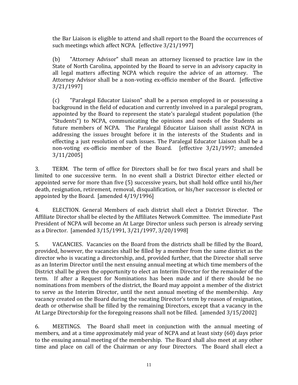the Bar Liaison is eligible to attend and shall report to the Board the occurrences of such meetings which affect NCPA. [effective 3/21/1997]

(b) "Attorney Advisor" shall mean an attorney licensed to practice law in the State of North Carolina, appointed by the Board to serve in an advisory capacity in all legal matters affecting NCPA which require the advice of an attorney. The Attorney Advisor shall be a non-voting ex-officio member of the Board. [effective 3/21/1997]

(c) "Paralegal Educator Liaison" shall be a person employed in or possessing a background in the field of education and currently involved in a paralegal program, appointed by the Board to represent the state's paralegal student population (the "Students") to NCPA, communicating the opinions and needs of the Students as future members of NCPA. The Paralegal Educator Liaison shall assist NCPA in addressing the issues brought before it in the interests of the Students and in effecting a just resolution of such issues. The Paralegal Educator Liaison shall be a non-voting ex-officio member of the Board. [effective 3/21/1997; amended 3/11/2005]

3. TERM. The term of office for Directors shall be for two fiscal years and shall be limited to one successive term. In no event shall a District Director either elected or appointed serve for more than five (5) successive years, but shall hold office until his/her death, resignation, retirement, removal, disqualification, or his/her successor is elected or appointed by the Board. [amended 4/19/1996]

4. ELECTION. General Members of each district shall elect a District Director. The Affiliate Director shall be elected by the Affiliates Network Committee. The immediate Past President of NCPA will become an At Large Director unless such person is already serving as a Director. [amended 3/15/1991, 3/21/1997, 3/20/1998]

5. VACANCIES. Vacancies on the Board from the districts shall be filled by the Board, provided, however, the vacancies shall be filled by a member from the same district as the director who is vacating a directorship, and, provided further, that the Director shall serve as an Interim Director until the next ensuing annual meeting at which time members of the District shall be given the opportunity to elect an Interim Director for the remainder of the term. If after a Request for Nominations has been made and if there should be no nominations from members of the district, the Board may appoint a member of the district to serve as the Interim Director, until the next annual meeting of the membership. Any vacancy created on the Board during the vacating Director's term by reason of resignation, death or otherwise shall be filled by the remaining Directors, except that a vacancy in the At Large Directorship for the foregoing reasons shall not be filled. [amended 3/15/2002]

6. MEETINGS. The Board shall meet in conjunction with the annual meeting of members, and at a time approximately mid year of NCPA and at least sixty (60) days prior to the ensuing annual meeting of the membership. The Board shall also meet at any other time and place on call of the Chairman or any four Directors. The Board shall elect a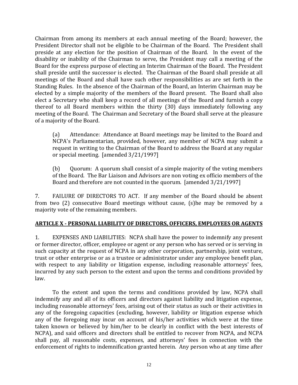Chairman from among its members at each annual meeting of the Board; however, the President Director shall not be eligible to be Chairman of the Board. The President shall preside at any election for the position of Chairman of the Board. In the event of the disability or inability of the Chairman to serve, the President may call a meeting of the Board for the express purpose of electing an Interim Chairman of the Board. The President shall preside until the successor is elected. The Chairman of the Board shall preside at all meetings of the Board and shall have such other responsibilities as are set forth in the Standing Rules. In the absence of the Chairman of the Board, an Interim Chairman may be elected by a simple majority of the members of the Board present. The Board shall also elect a Secretary who shall keep a record of all meetings of the Board and furnish a copy thereof to all Board members within the thirty (30) days immediately following any meeting of the Board. The Chairman and Secretary of the Board shall serve at the pleasure of a majority of the Board.

(a) Attendance: Attendance at Board meetings may be limited to the Board and NCPA's Parliamentarian, provided, however, any member of NCPA may submit a request in writing to the Chairman of the Board to address the Board at any regular or special meeting. [amended 3/21/1997]

(b) Quorum: A quorum shall consist of a simple majority of the voting members of the Board. The Bar Liaison and Advisors are non voting ex officio members of the Board and therefore are not counted in the quorum. [amended 3/21/1997]

7. FAILURE OF DIRECTORS TO ACT. If any member of the Board should be absent from two (2) consecutive Board meetings without cause, (s)he may be removed by a majority vote of the remaining members.

## **ARTICLE X - PERSONAL LIABILITY OF DIRECTORS, OFFICERS, EMPLOYEES OR AGENTS**

1. EXPENSES AND LIABILITIES: NCPA shall have the power to indemnify any present or former director, officer, employee or agent or any person who has served or is serving in such capacity at the request of NCPA in any other corporation, partnership, joint venture, trust or other enterprise or as a trustee or administrator under any employee benefit plan, with respect to any liability or litigation expense, including reasonable attorneys' fees, incurred by any such person to the extent and upon the terms and conditions provided by law.

To the extent and upon the terms and conditions provided by law, NCPA shall indemnify any and all of its officers and directors against liability and litigation expense, including reasonable attorneys' fees, arising out of their status as such or their activities in any of the foregoing capacities (excluding, however, liability or litigation expense which any of the foregoing may incur on account of his/her activities which were at the time taken known or believed by him/her to be clearly in conflict with the best interests of NCPA), and said officers and directors shall be entitled to recover from NCPA, and NCPA shall pay, all reasonable costs, expenses, and attorneys' fees in connection with the enforcement of rights to indemnification granted herein. Any person who at any time after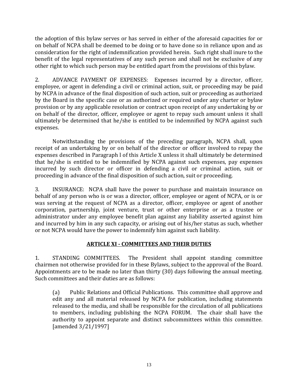the adoption of this bylaw serves or has served in either of the aforesaid capacities for or on behalf of NCPA shall be deemed to be doing or to have done so in reliance upon and as consideration for the right of indemnification provided herein. Such right shall inure to the benefit of the legal representatives of any such person and shall not be exclusive of any other right to which such person may be entitled apart from the provisions of this bylaw.

2. ADVANCE PAYMENT OF EXPENSES: Expenses incurred by a director, officer, employee, or agent in defending a civil or criminal action, suit, or proceeding may be paid by NCPA in advance of the final disposition of such action, suit or proceeding as authorized by the Board in the specific case or as authorized or required under any charter or bylaw provision or by any applicable resolution or contract upon receipt of any undertaking by or on behalf of the director, officer, employee or agent to repay such amount unless it shall ultimately be determined that he/she is entitled to be indemnified by NCPA against such expenses.

Notwithstanding the provisions of the preceding paragraph, NCPA shall, upon receipt of an undertaking by or on behalf of the director or officer involved to repay the expenses described in Paragraph l of this Article X unless it shall ultimately be determined that he/she is entitled to be indemnified by NCPA against such expenses, pay expenses incurred by such director or officer in defending a civil or criminal action, suit or proceeding in advance of the final disposition of such action, suit or proceeding.

3. INSURANCE: NCPA shall have the power to purchase and maintain insurance on behalf of any person who is or was a director, officer, employee or agent of NCPA, or is or was serving at the request of NCPA as a director, officer, employee or agent of another corporation, partnership, joint venture, trust or other enterprise or as a trustee or administrator under any employee benefit plan against any liability asserted against him and incurred by him in any such capacity, or arising out of his/her status as such, whether or not NCPA would have the power to indemnify him against such liability.

# **ARTICLE XI - COMMITTEES AND THEIR DUTIES**

1. STANDING COMMITTEES. The President shall appoint standing committee chairmen not otherwise provided for in these Bylaws, subject to the approval of the Board. Appointments are to be made no later than thirty (30) days following the annual meeting. Such committees and their duties are as follows:

(a) Public Relations and Official Publications. This committee shall approve and edit any and all material released by NCPA for publication, including statements released to the media, and shall be responsible for the circulation of all publications to members, including publishing the NCPA FORUM. The chair shall have the authority to appoint separate and distinct subcommittees within this committee. [amended 3/21/1997]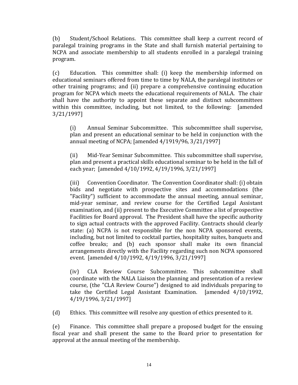(b) Student/School Relations. This committee shall keep a current record of paralegal training programs in the State and shall furnish material pertaining to NCPA and associate membership to all students enrolled in a paralegal training program.

(c) Education. This committee shall: (i) keep the membership informed on educational seminars offered from time to time by NALA, the paralegal institutes or other training programs; and (ii) prepare a comprehensive continuing education program for NCPA which meets the educational requirements of NALA. The chair shall have the authority to appoint these separate and distinct subcommittees within this committee, including, but not limited, to the following: [amended 3/21/1997]

(i) Annual Seminar Subcommittee. This subcommittee shall supervise, plan and present an educational seminar to be held in conjunction with the annual meeting of NCPA; [amended 4/1919/96, 3/21/1997]

(ii) Mid-Year Seminar Subcommittee. This subcommittee shall supervise, plan and present a practical skills educational seminar to be held in the fall of each year; [amended 4/10/1992, 4/19/1996, 3/21/1997]

(iii) Convention Coordinator. The Convention Coordinator shall: (i) obtain bids and negotiate with prospective sites and accommodations (the "Facility") sufficient to accommodate the annual meeting, annual seminar, mid-year seminar, and review course for the Certified Legal Assistant examination, and (ii) present to the Executive Committee a list of prospective Facilities for Board approval. The President shall have the specific authority to sign actual contracts with the approved Facility. Contracts should clearly state: (a) NCPA is not responsible for the non NCPA sponsored events, including, but not limited to cocktail parties, hospitality suites, banquets and coffee breaks; and (b) each sponsor shall make its own financial arrangements directly with the Facility regarding such non NCPA sponsored event. [amended 4/10/1992, 4/19/1996, 3/21/1997]

(iv) CLA Review Course Subcommittee. This subcommittee shall coordinate with the NALA Liaison the planning and presentation of a review course, (the "CLA Review Course") designed to aid individuals preparing to take the Certified Legal Assistant Examination. [amended 4/10/1992, 4/19/1996, 3/21/1997]

(d) Ethics. This committee will resolve any question of ethics presented to it.

(e) Finance. This committee shall prepare a proposed budget for the ensuing fiscal year and shall present the same to the Board prior to presentation for approval at the annual meeting of the membership.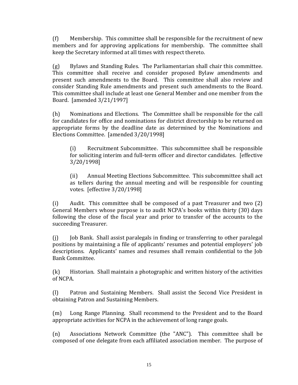(f) Membership. This committee shall be responsible for the recruitment of new members and for approving applications for membership. The committee shall keep the Secretary informed at all times with respect thereto.

(g) Bylaws and Standing Rules. The Parliamentarian shall chair this committee. This committee shall receive and consider proposed Bylaw amendments and present such amendments to the Board. This committee shall also review and consider Standing Rule amendments and present such amendments to the Board. This committee shall include at least one General Member and one member from the Board. [amended 3/21/1997]

(h) Nominations and Elections. The Committee shall be responsible for the call for candidates for office and nominations for district directorship to be returned on appropriate forms by the deadline date as determined by the Nominations and Elections Committee. [amended 3/20/1998]

(i) Recruitment Subcommittee. This subcommittee shall be responsible for soliciting interim and full-term officer and director candidates. [effective 3/20/1998]

(ii) Annual Meeting Elections Subcommittee. This subcommittee shall act as tellers during the annual meeting and will be responsible for counting votes. [effective 3/20/1998]

(i) Audit. This committee shall be composed of a past Treasurer and two (2) General Members whose purpose is to audit NCPA's books within thirty (30) days following the close of the fiscal year and prior to transfer of the accounts to the succeeding Treasurer.

(j) Job Bank. Shall assist paralegals in finding or transferring to other paralegal positions by maintaining a file of applicants' resumes and potential employers' job descriptions. Applicants' names and resumes shall remain confidential to the Job Bank Committee.

(k) Historian. Shall maintain a photographic and written history of the activities of NCPA.

(l) Patron and Sustaining Members. Shall assist the Second Vice President in obtaining Patron and Sustaining Members.

(m) Long Range Planning. Shall recommend to the President and to the Board appropriate activities for NCPA in the achievement of long range goals.

(n) Associations Network Committee (the "ANC"). This committee shall be composed of one delegate from each affiliated association member. The purpose of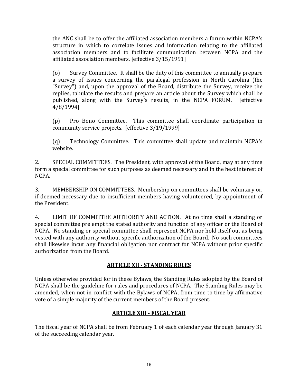the ANC shall be to offer the affiliated association members a forum within NCPA's structure in which to correlate issues and information relating to the affiliated association members and to facilitate communication between NCPA and the affiliated association members. [effective 3/15/1991]

(o) Survey Committee. It shall be the duty of this committee to annually prepare a survey of issues concerning the paralegal profession in North Carolina (the "Survey") and, upon the approval of the Board, distribute the Survey, receive the replies, tabulate the results and prepare an article about the Survey which shall be published, along with the Survey's results, in the NCPA FORUM. [effective 4/8/1994]

(p) Pro Bono Committee. This committee shall coordinate participation in community service projects. [effective 3/19/1999]

(q) Technology Committee. This committee shall update and maintain NCPA's website.

2. SPECIAL COMMITTEES. The President, with approval of the Board, may at any time form a special committee for such purposes as deemed necessary and in the best interest of NCPA.

3. MEMBERSHIP ON COMMITTEES. Membership on committees shall be voluntary or, if deemed necessary due to insufficient members having volunteered, by appointment of the President.

4. LIMIT OF COMMITTEE AUTHORITY AND ACTION. At no time shall a standing or special committee pre empt the stated authority and function of any officer or the Board of NCPA. No standing or special committee shall represent NCPA nor hold itself out as being vested with any authority without specific authorization of the Board. No such committees shall likewise incur any financial obligation nor contract for NCPA without prior specific authorization from the Board.

# **ARTICLE XII - STANDING RULES**

Unless otherwise provided for in these Bylaws, the Standing Rules adopted by the Board of NCPA shall be the guideline for rules and procedures of NCPA. The Standing Rules may be amended, when not in conflict with the Bylaws of NCPA, from time to time by affirmative vote of a simple majority of the current members of the Board present.

# **ARTICLE XIII - FISCAL YEAR**

The fiscal year of NCPA shall be from February 1 of each calendar year through January 31 of the succeeding calendar year.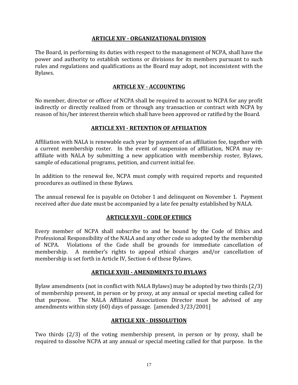#### **ARTICLE XIV - ORGANIZATIONAL DIVISION**

The Board, in performing its duties with respect to the management of NCPA, shall have the power and authority to establish sections or divisions for its members pursuant to such rules and regulations and qualifications as the Board may adopt, not inconsistent with the Bylaws.

## **ARTICLE XV - ACCOUNTING**

No member, director or officer of NCPA shall be required to account to NCPA for any profit indirectly or directly realized from or through any transaction or contract with NCPA by reason of his/her interest therein which shall have been approved or ratified by the Board.

#### **ARTICLE XVI - RETENTION OF AFFILIATION**

Affiliation with NALA is renewable each year by payment of an affiliation fee, together with a current membership roster. In the event of suspension of affiliation, NCPA may reaffiliate with NALA by submitting a new application with membership roster, Bylaws, sample of educational programs, petition, and current initial fee.

In addition to the renewal fee, NCPA must comply with required reports and requested procedures as outlined in these Bylaws.

The annual renewal fee is payable on October 1 and delinquent on November 1. Payment received after due date must be accompanied by a late fee penalty established by NALA.

#### **ARTICLE XVII - CODE OF ETHICS**

Every member of NCPA shall subscribe to and be bound by the Code of Ethics and Professional Responsibility of the NALA and any other code so adopted by the membership of NCPA. Violations of the Code shall be grounds for immediate cancellation of membership. A member's rights to appeal ethical charges and/or cancellation of membership is set forth in Article IV, Section 6 of these Bylaws.

#### **ARTICLE XVIII - AMENDMENTS TO BYLAWS**

Bylaw amendments (not in conflict with NALA Bylaws) may be adopted by two thirds (2/3) of membership present, in person or by proxy, at any annual or special meeting called for that purpose. The NALA Affiliated Associations Director must be advised of any amendments within sixty (60) days of passage. [amended 3/23/2001]

#### **ARTICLE XIX - DISSOLUTION**

Two thirds (2/3) of the voting membership present, in person or by proxy, shall be required to dissolve NCPA at any annual or special meeting called for that purpose. In the